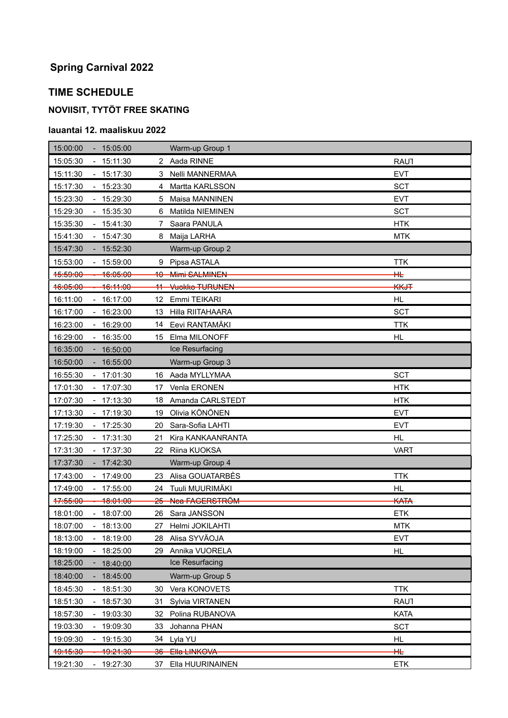# **Spring Carnival 2022**

#### **TIME SCHEDULE**

## **NOVIISIT, TYTÖT FREE SKATING**

#### **lauantai 12. maaliskuu 2022**

| 15:00:00<br>$-15:05:00$                          | Warm-up Group 1                  |             |
|--------------------------------------------------|----------------------------------|-------------|
| 15:05:30<br>$-15:11:30$                          | 2 Aada RINNE                     | <b>RAU1</b> |
| 15:17:30<br>15:11:30                             | Nelli MANNERMAA<br>3             | <b>EVT</b>  |
| $-15:23:30$<br>15:17:30                          | Martta KARLSSON<br>4             | <b>SCT</b>  |
| 15:23:30<br>$-15:29:30$                          | Maisa MANNINEN<br>5              | <b>EVT</b>  |
| 15:29:30<br>$-15:35:30$                          | Matilda NIEMINEN<br>6            | <b>SCT</b>  |
| $-15:41:30$<br>15:35:30                          | Saara PANULA<br>7                | <b>HTK</b>  |
| 15:41:30<br>$-15:47:30$                          | Maija LARHA<br>8                 | <b>MTK</b>  |
| 15:47:30<br>$-15:52:30$                          | Warm-up Group 2                  |             |
| 15:53:00<br>$-15:59:00$                          | Pipsa ASTALA<br>9                | <b>TTK</b>  |
| 16:05:00<br><del>15:59:00</del>                  | 10 Mimi SALMINEN                 | #           |
| <del>16:11:00</del><br><del>16:05:00</del>       | <b>Vuokko TURUNEN</b><br>11-     | <b>KKJT</b> |
| 16:11:00<br>$-16:17:00$                          | 12 <sup>°</sup><br>Emmi TEIKARI  | <b>HL</b>   |
| 16:17:00<br>16:23:00                             | Hilla RIITAHAARA<br>13           | <b>SCT</b>  |
| 16:23:00<br>$-16:29:00$                          | Eevi RANTAMÄKI<br>14             | <b>TTK</b>  |
| 16:29:00<br>16:35:00                             | Elma MILONOFF<br>15              | <b>HL</b>   |
| 16:35:00<br>$-16:50:00$                          | Ice Resurfacing                  |             |
| 16:50:00<br>$-16:55:00$                          | Warm-up Group 3                  |             |
| 16:55:30<br>$-17:01:30$                          | Aada MYLLYMAA<br>16              | <b>SCT</b>  |
| 17:01:30<br>17:07:30                             | Venla ERONEN<br>17               | <b>HTK</b>  |
| 17:07:30<br>$-17:13:30$                          | Amanda CARLSTEDT<br>18           | <b>HTK</b>  |
| 17:13:30<br>$-17:19:30$                          | Olivia KÖNÖNEN<br>19             | <b>EVT</b>  |
| 17:19:30<br>$-17:25:30$                          | Sara-Sofia LAHTI<br>20           | <b>EVT</b>  |
| 17:25:30<br>$-17:31:30$                          | Kira KANKAANRANTA<br>21          | <b>HL</b>   |
| 17:31:30<br>17:37:30                             | Riina KUOKSA<br>22               | <b>VART</b> |
| 17:37:30<br>$-17:42:30$                          | Warm-up Group 4                  |             |
| 17:43:00<br>17:49:00                             | Alisa GOUATARBÈS<br>23.          | <b>TTK</b>  |
| 17:49:00<br>$-17:55:00$                          | Tuuli MUURIMÄKI<br>24            | <b>HL</b>   |
| 47:55:00<br><del>18:01:00</del>                  | Nea FAGERSTRÖM<br><del>25-</del> | <b>KATA</b> |
| 18:01:00<br>$-18:07:00$                          | 26 Sara JANSSON                  | <b>ETK</b>  |
| 18:07:00<br>18:13:00                             | 27 Helmi JOKILAHTI               | <b>MTK</b>  |
| 18:19:00<br>18:13:00                             | Alisa SYVÄOJA<br>28              | <b>EVT</b>  |
| 18:19:00<br>18:25:00<br>$\blacksquare$           | Annika VUORELA<br>29             | HL          |
| 18:25:00<br>18:40:00<br>٠                        | Ice Resurfacing                  |             |
| 18:40:00<br>18:45:00                             | Warm-up Group 5                  |             |
| 18:51:30<br>18:45:30                             | Vera KONOVETS<br>30              | <b>TTK</b>  |
| 18:57:30<br>18:51:30<br>$\overline{\phantom{a}}$ | Sylvia VIRTANEN<br>31            | <b>RAU1</b> |
| 18:57:30<br>19:03:30                             | Polina RUBANOVA<br>32.           | KATA        |
| 19:03:30<br>19:09:30                             | Johanna PHAN<br>33               | <b>SCT</b>  |
| 19:09:30<br>19:15:30                             | Lyla YU<br>34                    | HL          |
| 49:15:30<br>19:21:30                             | 36 Ella LINKOVA                  | $\pm$       |
| 19:21:30<br>19:27:30                             | Ella HUURINAINEN<br>37           | <b>ETK</b>  |